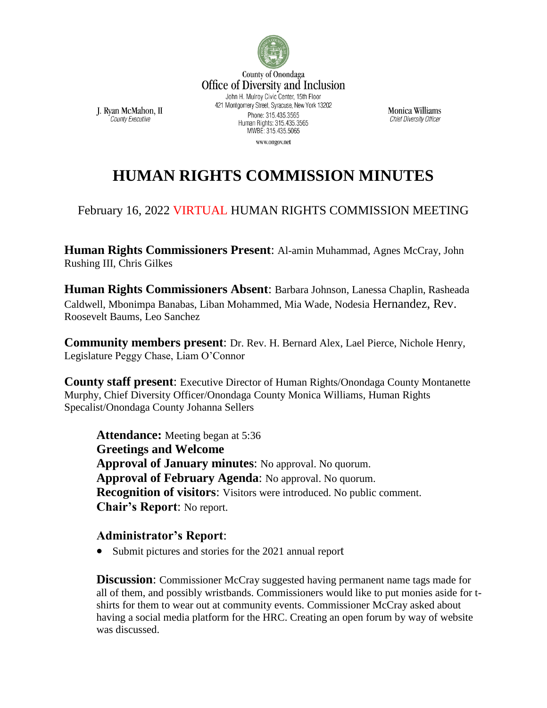

Monica Williams **Chief Diversity Officer** 

**HUMAN RIGHTS COMMISSION MINUTES**

## February 16, 2022 VIRTUAL HUMAN RIGHTS COMMISSION MEETING

**Human Rights Commissioners Present**: Al-amin Muhammad, Agnes McCray, John Rushing III, Chris Gilkes

**Human Rights Commissioners Absent**: Barbara Johnson, Lanessa Chaplin, Rasheada Caldwell, Mbonimpa Banabas, Liban Mohammed, Mia Wade, Nodesia Hernandez, Rev. Roosevelt Baums, Leo Sanchez

**Community members present**: Dr. Rev. H. Bernard Alex, Lael Pierce, Nichole Henry, Legislature Peggy Chase, Liam O'Connor

**County staff present**: Executive Director of Human Rights/Onondaga County Montanette Murphy, Chief Diversity Officer/Onondaga County Monica Williams, Human Rights Specalist/Onondaga County Johanna Sellers

**Attendance:** Meeting began at 5:36 **Greetings and Welcome Approval of January minutes**: No approval. No quorum. **Approval of February Agenda**: No approval. No quorum. **Recognition of visitors:** Visitors were introduced. No public comment. **Chair's Report**: No report.

## **Administrator's Report**:

J. Ryan McMahon, II

County Executive

• Submit pictures and stories for the 2021 annual report

**Discussion:** Commissioner McCray suggested having permanent name tags made for all of them, and possibly wristbands. Commissioners would like to put monies aside for tshirts for them to wear out at community events. Commissioner McCray asked about having a social media platform for the HRC. Creating an open forum by way of website was discussed.